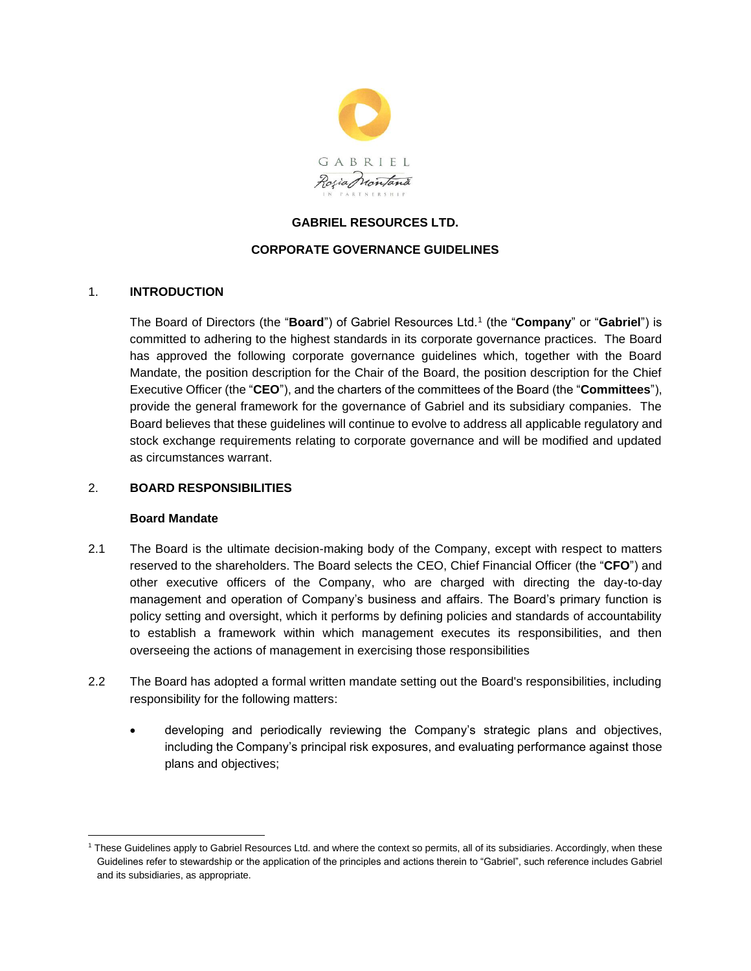

## **GABRIEL RESOURCES LTD.**

### **CORPORATE GOVERNANCE GUIDELINES**

### 1. **INTRODUCTION**

The Board of Directors (the "**Board**") of Gabriel Resources Ltd.<sup>1</sup> (the "**Company**" or "**Gabriel**") is committed to adhering to the highest standards in its corporate governance practices. The Board has approved the following corporate governance guidelines which, together with the Board Mandate, the position description for the Chair of the Board, the position description for the Chief Executive Officer (the "**CEO**"), and the charters of the committees of the Board (the "**Committees**"), provide the general framework for the governance of Gabriel and its subsidiary companies. The Board believes that these guidelines will continue to evolve to address all applicable regulatory and stock exchange requirements relating to corporate governance and will be modified and updated as circumstances warrant.

## 2. **BOARD RESPONSIBILITIES**

#### **Board Mandate**

- 2.1 The Board is the ultimate decision-making body of the Company, except with respect to matters reserved to the shareholders. The Board selects the CEO, Chief Financial Officer (the "**CFO**") and other executive officers of the Company, who are charged with directing the day-to-day management and operation of Company's business and affairs. The Board's primary function is policy setting and oversight, which it performs by defining policies and standards of accountability to establish a framework within which management executes its responsibilities, and then overseeing the actions of management in exercising those responsibilities
- 2.2 The Board has adopted a formal written mandate setting out the Board's responsibilities, including responsibility for the following matters:
	- developing and periodically reviewing the Company's strategic plans and objectives, including the Company's principal risk exposures, and evaluating performance against those plans and objectives;

<sup>1</sup> These Guidelines apply to Gabriel Resources Ltd. and where the context so permits, all of its subsidiaries. Accordingly, when these Guidelines refer to stewardship or the application of the principles and actions therein to "Gabriel", such reference includes Gabriel and its subsidiaries, as appropriate.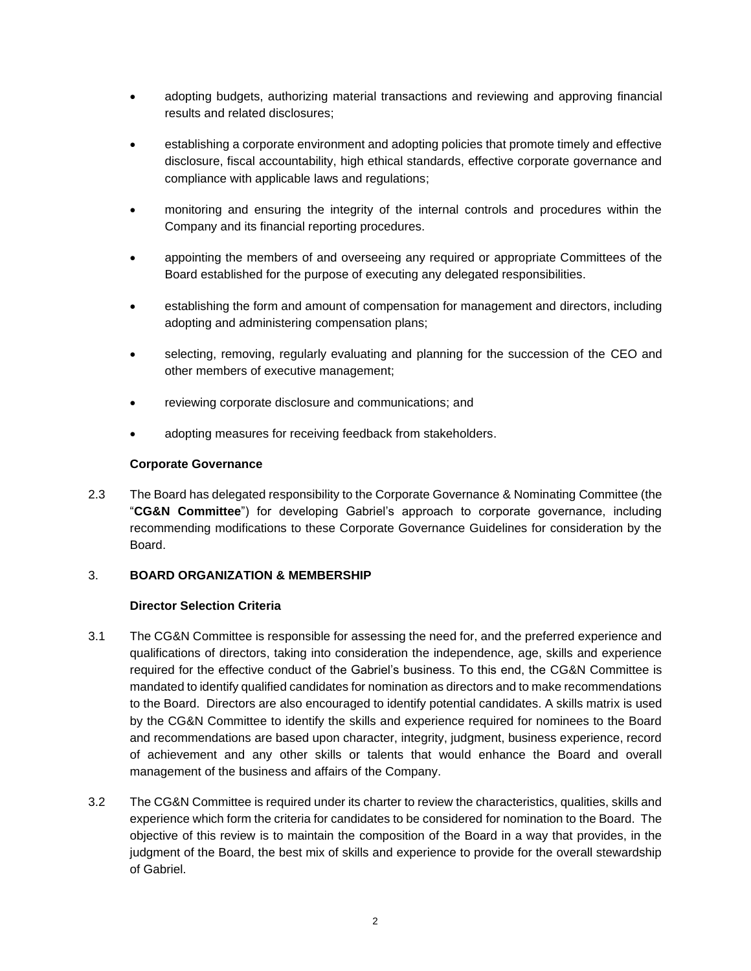- adopting budgets, authorizing material transactions and reviewing and approving financial results and related disclosures;
- establishing a corporate environment and adopting policies that promote timely and effective disclosure, fiscal accountability, high ethical standards, effective corporate governance and compliance with applicable laws and regulations;
- monitoring and ensuring the integrity of the internal controls and procedures within the Company and its financial reporting procedures.
- appointing the members of and overseeing any required or appropriate Committees of the Board established for the purpose of executing any delegated responsibilities.
- establishing the form and amount of compensation for management and directors, including adopting and administering compensation plans;
- selecting, removing, regularly evaluating and planning for the succession of the CEO and other members of executive management;
- reviewing corporate disclosure and communications; and
- adopting measures for receiving feedback from stakeholders.

### **Corporate Governance**

2.3 The Board has delegated responsibility to the Corporate Governance & Nominating Committee (the "**CG&N Committee**") for developing Gabriel's approach to corporate governance, including recommending modifications to these Corporate Governance Guidelines for consideration by the Board.

### 3. **BOARD ORGANIZATION & MEMBERSHIP**

### **Director Selection Criteria**

- 3.1 The CG&N Committee is responsible for assessing the need for, and the preferred experience and qualifications of directors, taking into consideration the independence, age, skills and experience required for the effective conduct of the Gabriel's business. To this end, the CG&N Committee is mandated to identify qualified candidates for nomination as directors and to make recommendations to the Board. Directors are also encouraged to identify potential candidates. A skills matrix is used by the CG&N Committee to identify the skills and experience required for nominees to the Board and recommendations are based upon character, integrity, judgment, business experience, record of achievement and any other skills or talents that would enhance the Board and overall management of the business and affairs of the Company.
- 3.2 The CG&N Committee is required under its charter to review the characteristics, qualities, skills and experience which form the criteria for candidates to be considered for nomination to the Board. The objective of this review is to maintain the composition of the Board in a way that provides, in the judgment of the Board, the best mix of skills and experience to provide for the overall stewardship of Gabriel.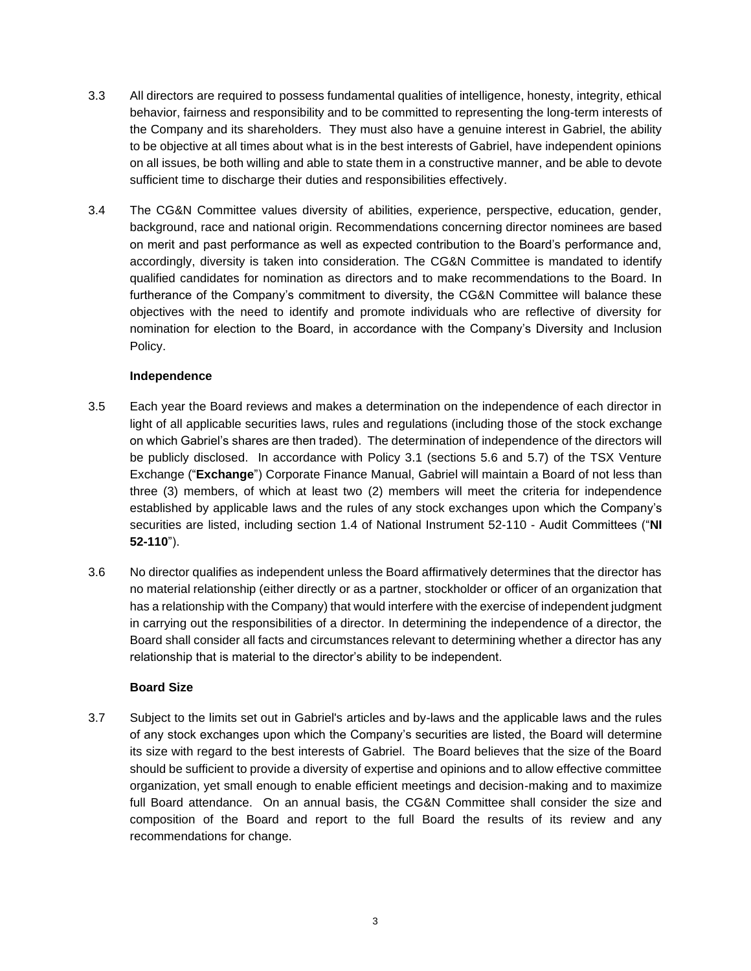- 3.3 All directors are required to possess fundamental qualities of intelligence, honesty, integrity, ethical behavior, fairness and responsibility and to be committed to representing the long-term interests of the Company and its shareholders. They must also have a genuine interest in Gabriel, the ability to be objective at all times about what is in the best interests of Gabriel, have independent opinions on all issues, be both willing and able to state them in a constructive manner, and be able to devote sufficient time to discharge their duties and responsibilities effectively.
- 3.4 The CG&N Committee values diversity of abilities, experience, perspective, education, gender, background, race and national origin. Recommendations concerning director nominees are based on merit and past performance as well as expected contribution to the Board's performance and, accordingly, diversity is taken into consideration. The CG&N Committee is mandated to identify qualified candidates for nomination as directors and to make recommendations to the Board. In furtherance of the Company's commitment to diversity, the CG&N Committee will balance these objectives with the need to identify and promote individuals who are reflective of diversity for nomination for election to the Board, in accordance with the Company's Diversity and Inclusion Policy.

### **Independence**

- 3.5 Each year the Board reviews and makes a determination on the independence of each director in light of all applicable securities laws, rules and regulations (including those of the stock exchange on which Gabriel's shares are then traded). The determination of independence of the directors will be publicly disclosed. In accordance with Policy 3.1 (sections 5.6 and 5.7) of the TSX Venture Exchange ("**Exchange**") Corporate Finance Manual, Gabriel will maintain a Board of not less than three (3) members, of which at least two (2) members will meet the criteria for independence established by applicable laws and the rules of any stock exchanges upon which the Company's securities are listed, including section 1.4 of National Instrument 52-110 - Audit Committees ("**NI 52-110**").
- 3.6 No director qualifies as independent unless the Board affirmatively determines that the director has no material relationship (either directly or as a partner, stockholder or officer of an organization that has a relationship with the Company) that would interfere with the exercise of independent judgment in carrying out the responsibilities of a director. In determining the independence of a director, the Board shall consider all facts and circumstances relevant to determining whether a director has any relationship that is material to the director's ability to be independent.

## **Board Size**

3.7 Subject to the limits set out in Gabriel's articles and by-laws and the applicable laws and the rules of any stock exchanges upon which the Company's securities are listed, the Board will determine its size with regard to the best interests of Gabriel. The Board believes that the size of the Board should be sufficient to provide a diversity of expertise and opinions and to allow effective committee organization, yet small enough to enable efficient meetings and decision-making and to maximize full Board attendance. On an annual basis, the CG&N Committee shall consider the size and composition of the Board and report to the full Board the results of its review and any recommendations for change.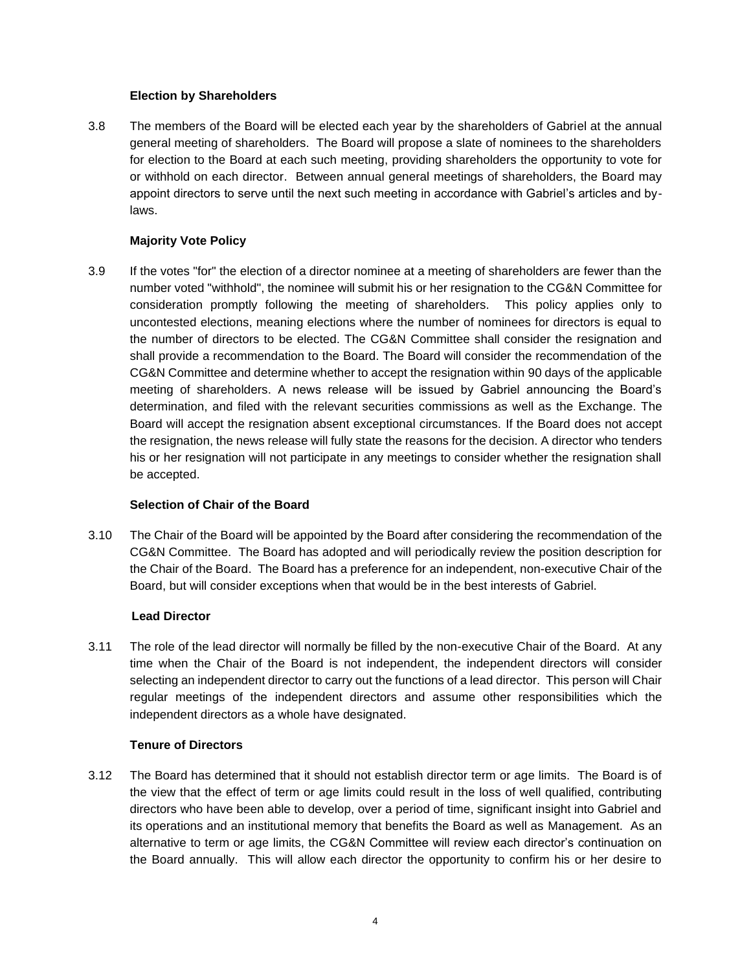### **Election by Shareholders**

3.8 The members of the Board will be elected each year by the shareholders of Gabriel at the annual general meeting of shareholders. The Board will propose a slate of nominees to the shareholders for election to the Board at each such meeting, providing shareholders the opportunity to vote for or withhold on each director. Between annual general meetings of shareholders, the Board may appoint directors to serve until the next such meeting in accordance with Gabriel's articles and bylaws.

# **Majority Vote Policy**

3.9 If the votes "for" the election of a director nominee at a meeting of shareholders are fewer than the number voted "withhold", the nominee will submit his or her resignation to the CG&N Committee for consideration promptly following the meeting of shareholders. This policy applies only to uncontested elections, meaning elections where the number of nominees for directors is equal to the number of directors to be elected. The CG&N Committee shall consider the resignation and shall provide a recommendation to the Board. The Board will consider the recommendation of the CG&N Committee and determine whether to accept the resignation within 90 days of the applicable meeting of shareholders. A news release will be issued by Gabriel announcing the Board's determination, and filed with the relevant securities commissions as well as the Exchange. The Board will accept the resignation absent exceptional circumstances. If the Board does not accept the resignation, the news release will fully state the reasons for the decision. A director who tenders his or her resignation will not participate in any meetings to consider whether the resignation shall be accepted.

### **Selection of Chair of the Board**

3.10 The Chair of the Board will be appointed by the Board after considering the recommendation of the CG&N Committee. The Board has adopted and will periodically review the position description for the Chair of the Board. The Board has a preference for an independent, non-executive Chair of the Board, but will consider exceptions when that would be in the best interests of Gabriel.

### **Lead Director**

3.11 The role of the lead director will normally be filled by the non-executive Chair of the Board. At any time when the Chair of the Board is not independent, the independent directors will consider selecting an independent director to carry out the functions of a lead director. This person will Chair regular meetings of the independent directors and assume other responsibilities which the independent directors as a whole have designated.

# **Tenure of Directors**

3.12 The Board has determined that it should not establish director term or age limits. The Board is of the view that the effect of term or age limits could result in the loss of well qualified, contributing directors who have been able to develop, over a period of time, significant insight into Gabriel and its operations and an institutional memory that benefits the Board as well as Management. As an alternative to term or age limits, the CG&N Committee will review each director's continuation on the Board annually. This will allow each director the opportunity to confirm his or her desire to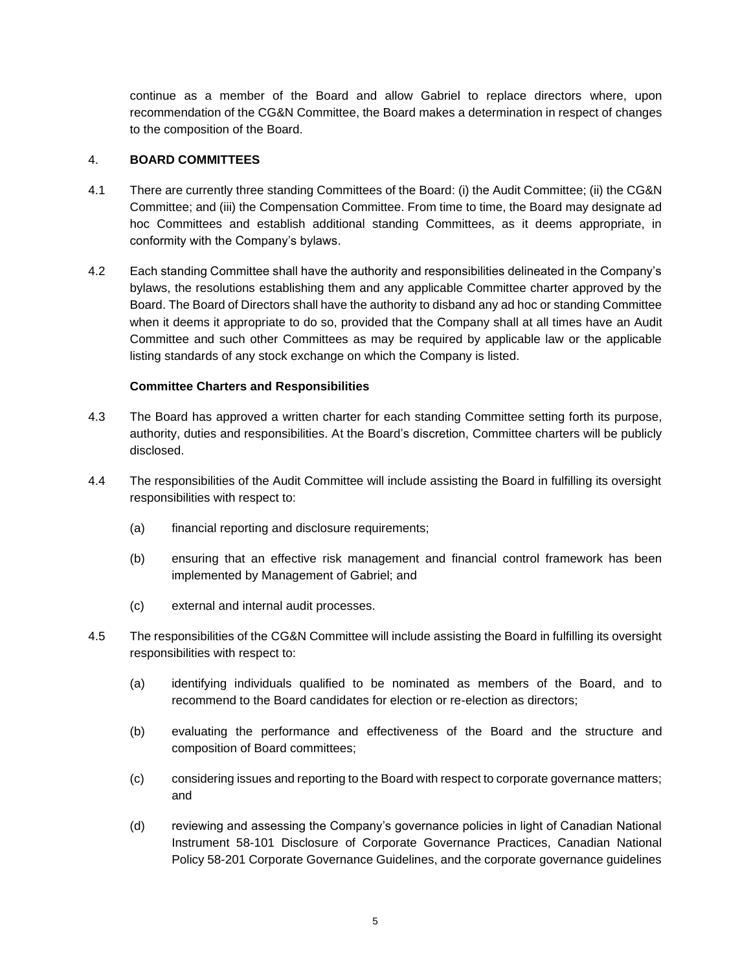continue as a member of the Board and allow Gabriel to replace directors where, upon recommendation of the CG&N Committee, the Board makes a determination in respect of changes to the composition of the Board.

## 4. **BOARD COMMITTEES**

- 4.1 There are currently three standing Committees of the Board: (i) the Audit Committee; (ii) the CG&N Committee; and (iii) the Compensation Committee. From time to time, the Board may designate ad hoc Committees and establish additional standing Committees, as it deems appropriate, in conformity with the Company's bylaws.
- 4.2 Each standing Committee shall have the authority and responsibilities delineated in the Company's bylaws, the resolutions establishing them and any applicable Committee charter approved by the Board. The Board of Directors shall have the authority to disband any ad hoc or standing Committee when it deems it appropriate to do so, provided that the Company shall at all times have an Audit Committee and such other Committees as may be required by applicable law or the applicable listing standards of any stock exchange on which the Company is listed.

### **Committee Charters and Responsibilities**

- 4.3 The Board has approved a written charter for each standing Committee setting forth its purpose, authority, duties and responsibilities. At the Board's discretion, Committee charters will be publicly disclosed.
- 4.4 The responsibilities of the Audit Committee will include assisting the Board in fulfilling its oversight responsibilities with respect to:
	- (a) financial reporting and disclosure requirements;
	- (b) ensuring that an effective risk management and financial control framework has been implemented by Management of Gabriel; and
	- (c) external and internal audit processes.
- 4.5 The responsibilities of the CG&N Committee will include assisting the Board in fulfilling its oversight responsibilities with respect to:
	- (a) identifying individuals qualified to be nominated as members of the Board, and to recommend to the Board candidates for election or re-election as directors;
	- (b) evaluating the performance and effectiveness of the Board and the structure and composition of Board committees;
	- (c) considering issues and reporting to the Board with respect to corporate governance matters; and
	- (d) reviewing and assessing the Company's governance policies in light of Canadian National Instrument 58-101 Disclosure of Corporate Governance Practices, Canadian National Policy 58-201 Corporate Governance Guidelines, and the corporate governance guidelines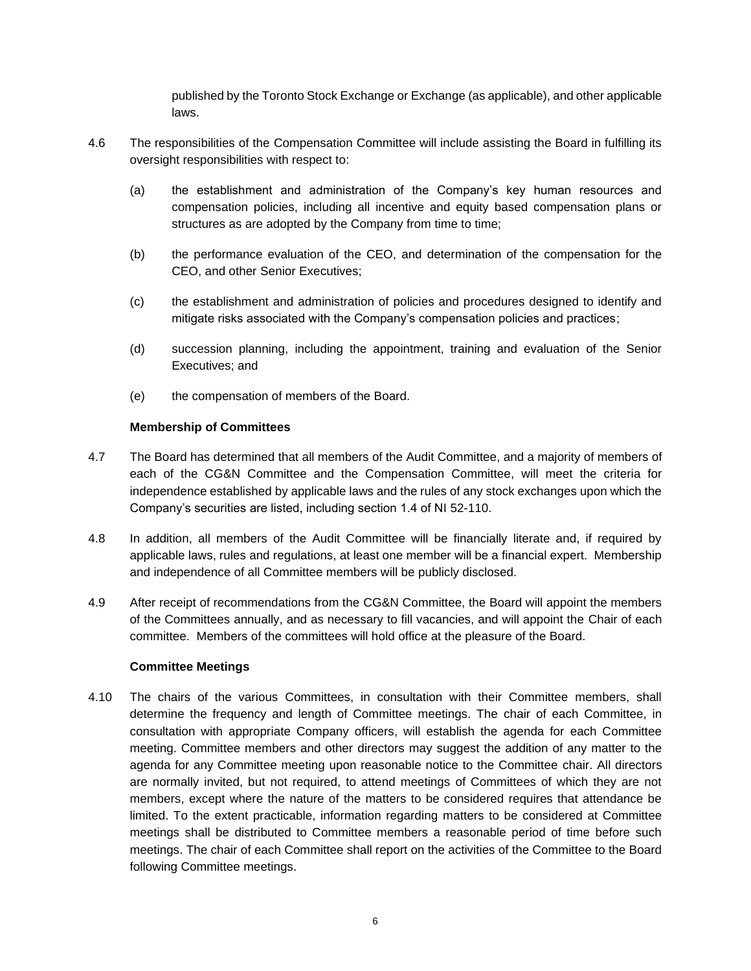published by the Toronto Stock Exchange or Exchange (as applicable), and other applicable laws.

- 4.6 The responsibilities of the Compensation Committee will include assisting the Board in fulfilling its oversight responsibilities with respect to:
	- (a) the establishment and administration of the Company's key human resources and compensation policies, including all incentive and equity based compensation plans or structures as are adopted by the Company from time to time;
	- (b) the performance evaluation of the CEO, and determination of the compensation for the CEO, and other Senior Executives;
	- (c) the establishment and administration of policies and procedures designed to identify and mitigate risks associated with the Company's compensation policies and practices;
	- (d) succession planning, including the appointment, training and evaluation of the Senior Executives; and
	- (e) the compensation of members of the Board.

### **Membership of Committees**

- 4.7 The Board has determined that all members of the Audit Committee, and a majority of members of each of the CG&N Committee and the Compensation Committee, will meet the criteria for independence established by applicable laws and the rules of any stock exchanges upon which the Company's securities are listed, including section 1.4 of NI 52-110.
- 4.8 In addition, all members of the Audit Committee will be financially literate and, if required by applicable laws, rules and regulations, at least one member will be a financial expert. Membership and independence of all Committee members will be publicly disclosed.
- 4.9 After receipt of recommendations from the CG&N Committee, the Board will appoint the members of the Committees annually, and as necessary to fill vacancies, and will appoint the Chair of each committee. Members of the committees will hold office at the pleasure of the Board.

### **Committee Meetings**

4.10 The chairs of the various Committees, in consultation with their Committee members, shall determine the frequency and length of Committee meetings. The chair of each Committee, in consultation with appropriate Company officers, will establish the agenda for each Committee meeting. Committee members and other directors may suggest the addition of any matter to the agenda for any Committee meeting upon reasonable notice to the Committee chair. All directors are normally invited, but not required, to attend meetings of Committees of which they are not members, except where the nature of the matters to be considered requires that attendance be limited. To the extent practicable, information regarding matters to be considered at Committee meetings shall be distributed to Committee members a reasonable period of time before such meetings. The chair of each Committee shall report on the activities of the Committee to the Board following Committee meetings.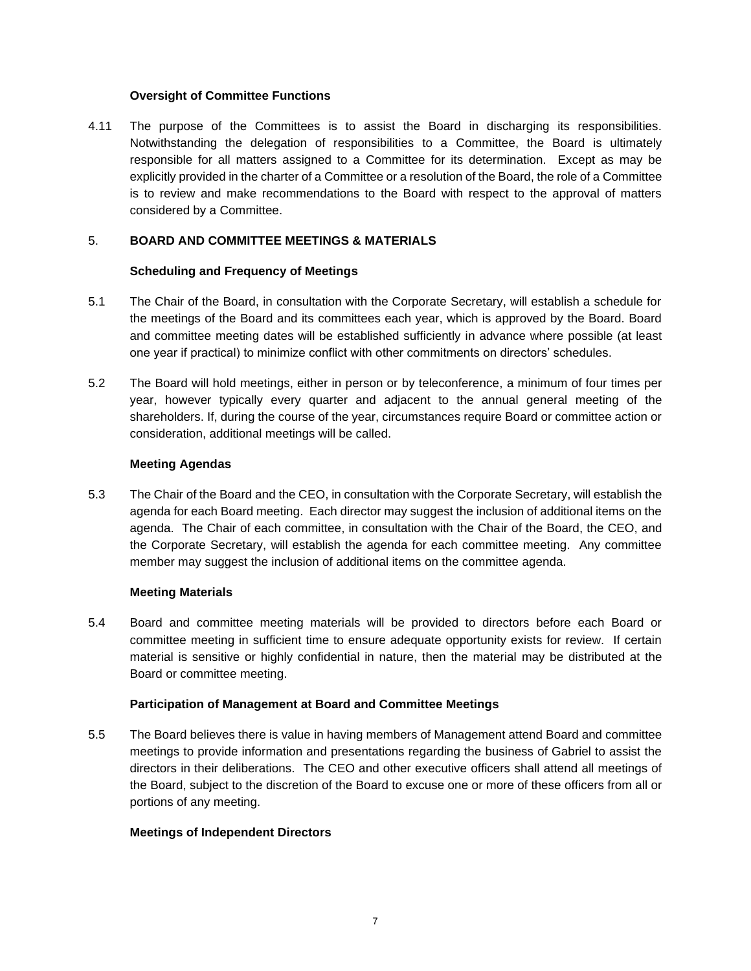#### **Oversight of Committee Functions**

4.11 The purpose of the Committees is to assist the Board in discharging its responsibilities. Notwithstanding the delegation of responsibilities to a Committee, the Board is ultimately responsible for all matters assigned to a Committee for its determination. Except as may be explicitly provided in the charter of a Committee or a resolution of the Board, the role of a Committee is to review and make recommendations to the Board with respect to the approval of matters considered by a Committee.

#### 5. **BOARD AND COMMITTEE MEETINGS & MATERIALS**

#### **Scheduling and Frequency of Meetings**

- 5.1 The Chair of the Board, in consultation with the Corporate Secretary, will establish a schedule for the meetings of the Board and its committees each year, which is approved by the Board. Board and committee meeting dates will be established sufficiently in advance where possible (at least one year if practical) to minimize conflict with other commitments on directors' schedules.
- 5.2 The Board will hold meetings, either in person or by teleconference, a minimum of four times per year, however typically every quarter and adjacent to the annual general meeting of the shareholders. If, during the course of the year, circumstances require Board or committee action or consideration, additional meetings will be called.

#### **Meeting Agendas**

5.3 The Chair of the Board and the CEO, in consultation with the Corporate Secretary, will establish the agenda for each Board meeting. Each director may suggest the inclusion of additional items on the agenda. The Chair of each committee, in consultation with the Chair of the Board, the CEO, and the Corporate Secretary, will establish the agenda for each committee meeting. Any committee member may suggest the inclusion of additional items on the committee agenda.

### **Meeting Materials**

5.4 Board and committee meeting materials will be provided to directors before each Board or committee meeting in sufficient time to ensure adequate opportunity exists for review. If certain material is sensitive or highly confidential in nature, then the material may be distributed at the Board or committee meeting.

### **Participation of Management at Board and Committee Meetings**

5.5 The Board believes there is value in having members of Management attend Board and committee meetings to provide information and presentations regarding the business of Gabriel to assist the directors in their deliberations. The CEO and other executive officers shall attend all meetings of the Board, subject to the discretion of the Board to excuse one or more of these officers from all or portions of any meeting.

### **Meetings of Independent Directors**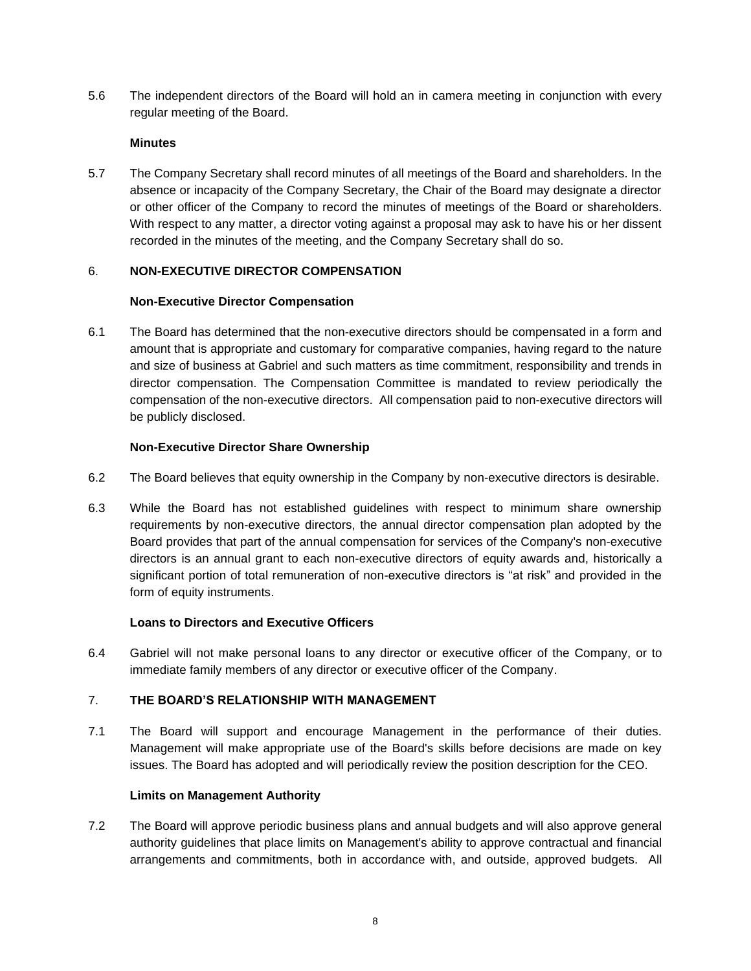5.6 The independent directors of the Board will hold an in camera meeting in conjunction with every regular meeting of the Board.

## **Minutes**

5.7 The Company Secretary shall record minutes of all meetings of the Board and shareholders. In the absence or incapacity of the Company Secretary, the Chair of the Board may designate a director or other officer of the Company to record the minutes of meetings of the Board or shareholders. With respect to any matter, a director voting against a proposal may ask to have his or her dissent recorded in the minutes of the meeting, and the Company Secretary shall do so.

# 6. **NON-EXECUTIVE DIRECTOR COMPENSATION**

### **Non-Executive Director Compensation**

6.1 The Board has determined that the non-executive directors should be compensated in a form and amount that is appropriate and customary for comparative companies, having regard to the nature and size of business at Gabriel and such matters as time commitment, responsibility and trends in director compensation. The Compensation Committee is mandated to review periodically the compensation of the non-executive directors. All compensation paid to non-executive directors will be publicly disclosed.

### **Non-Executive Director Share Ownership**

- 6.2 The Board believes that equity ownership in the Company by non-executive directors is desirable.
- 6.3 While the Board has not established guidelines with respect to minimum share ownership requirements by non-executive directors, the annual director compensation plan adopted by the Board provides that part of the annual compensation for services of the Company's non-executive directors is an annual grant to each non-executive directors of equity awards and, historically a significant portion of total remuneration of non-executive directors is "at risk" and provided in the form of equity instruments.

### **Loans to Directors and Executive Officers**

6.4 Gabriel will not make personal loans to any director or executive officer of the Company, or to immediate family members of any director or executive officer of the Company.

### 7. **THE BOARD'S RELATIONSHIP WITH MANAGEMENT**

7.1 The Board will support and encourage Management in the performance of their duties. Management will make appropriate use of the Board's skills before decisions are made on key issues. The Board has adopted and will periodically review the position description for the CEO.

### **Limits on Management Authority**

7.2 The Board will approve periodic business plans and annual budgets and will also approve general authority guidelines that place limits on Management's ability to approve contractual and financial arrangements and commitments, both in accordance with, and outside, approved budgets. All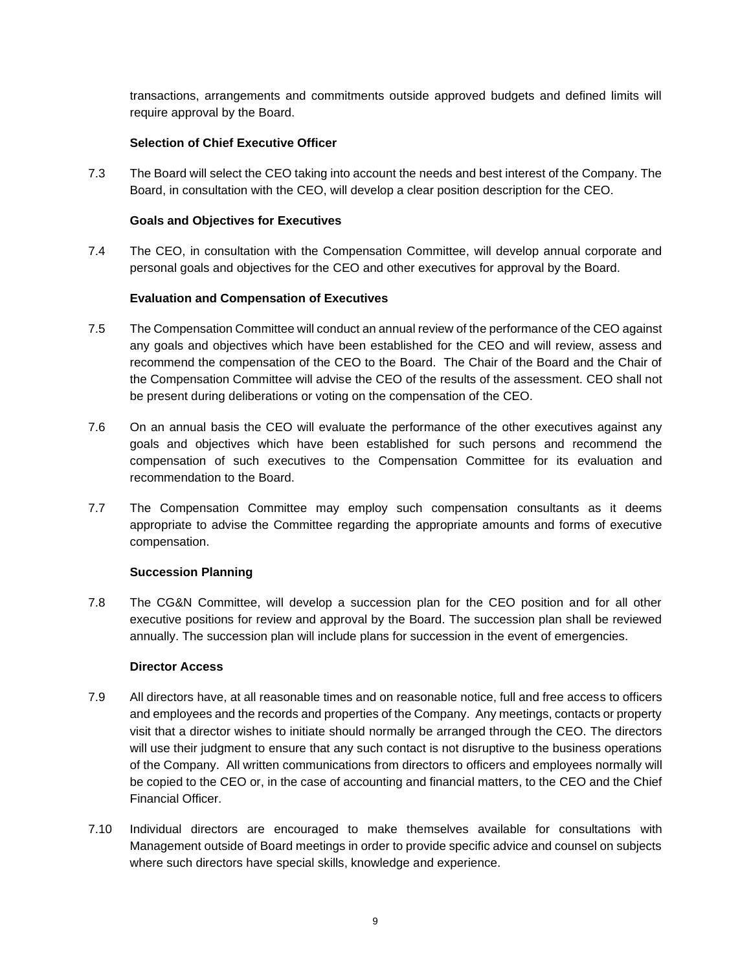transactions, arrangements and commitments outside approved budgets and defined limits will require approval by the Board.

## **Selection of Chief Executive Officer**

7.3 The Board will select the CEO taking into account the needs and best interest of the Company. The Board, in consultation with the CEO, will develop a clear position description for the CEO.

# **Goals and Objectives for Executives**

7.4 The CEO, in consultation with the Compensation Committee, will develop annual corporate and personal goals and objectives for the CEO and other executives for approval by the Board.

# **Evaluation and Compensation of Executives**

- 7.5 The Compensation Committee will conduct an annual review of the performance of the CEO against any goals and objectives which have been established for the CEO and will review, assess and recommend the compensation of the CEO to the Board. The Chair of the Board and the Chair of the Compensation Committee will advise the CEO of the results of the assessment. CEO shall not be present during deliberations or voting on the compensation of the CEO.
- 7.6 On an annual basis the CEO will evaluate the performance of the other executives against any goals and objectives which have been established for such persons and recommend the compensation of such executives to the Compensation Committee for its evaluation and recommendation to the Board.
- 7.7 The Compensation Committee may employ such compensation consultants as it deems appropriate to advise the Committee regarding the appropriate amounts and forms of executive compensation.

### **Succession Planning**

7.8 The CG&N Committee, will develop a succession plan for the CEO position and for all other executive positions for review and approval by the Board. The succession plan shall be reviewed annually. The succession plan will include plans for succession in the event of emergencies.

### **Director Access**

- 7.9 All directors have, at all reasonable times and on reasonable notice, full and free access to officers and employees and the records and properties of the Company. Any meetings, contacts or property visit that a director wishes to initiate should normally be arranged through the CEO. The directors will use their judgment to ensure that any such contact is not disruptive to the business operations of the Company. All written communications from directors to officers and employees normally will be copied to the CEO or, in the case of accounting and financial matters, to the CEO and the Chief Financial Officer.
- 7.10 Individual directors are encouraged to make themselves available for consultations with Management outside of Board meetings in order to provide specific advice and counsel on subjects where such directors have special skills, knowledge and experience.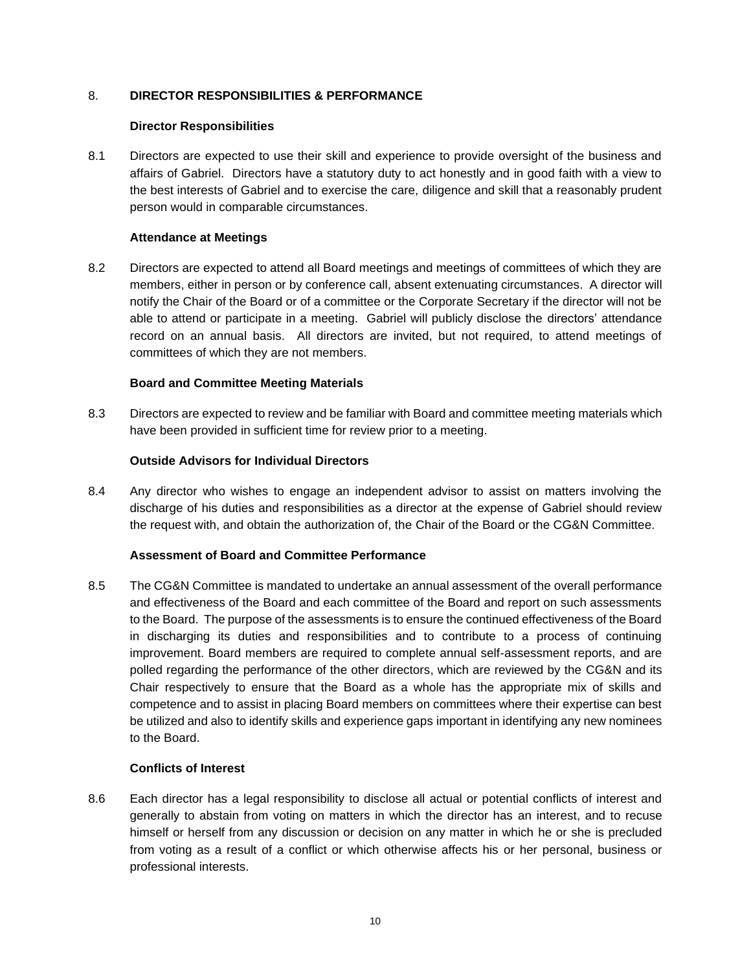## 8. **DIRECTOR RESPONSIBILITIES & PERFORMANCE**

#### **Director Responsibilities**

8.1 Directors are expected to use their skill and experience to provide oversight of the business and affairs of Gabriel. Directors have a statutory duty to act honestly and in good faith with a view to the best interests of Gabriel and to exercise the care, diligence and skill that a reasonably prudent person would in comparable circumstances.

### **Attendance at Meetings**

8.2 Directors are expected to attend all Board meetings and meetings of committees of which they are members, either in person or by conference call, absent extenuating circumstances. A director will notify the Chair of the Board or of a committee or the Corporate Secretary if the director will not be able to attend or participate in a meeting. Gabriel will publicly disclose the directors' attendance record on an annual basis. All directors are invited, but not required, to attend meetings of committees of which they are not members.

#### **Board and Committee Meeting Materials**

8.3 Directors are expected to review and be familiar with Board and committee meeting materials which have been provided in sufficient time for review prior to a meeting.

#### **Outside Advisors for Individual Directors**

8.4 Any director who wishes to engage an independent advisor to assist on matters involving the discharge of his duties and responsibilities as a director at the expense of Gabriel should review the request with, and obtain the authorization of, the Chair of the Board or the CG&N Committee.

### **Assessment of Board and Committee Performance**

8.5 The CG&N Committee is mandated to undertake an annual assessment of the overall performance and effectiveness of the Board and each committee of the Board and report on such assessments to the Board. The purpose of the assessments is to ensure the continued effectiveness of the Board in discharging its duties and responsibilities and to contribute to a process of continuing improvement. Board members are required to complete annual self-assessment reports, and are polled regarding the performance of the other directors, which are reviewed by the CG&N and its Chair respectively to ensure that the Board as a whole has the appropriate mix of skills and competence and to assist in placing Board members on committees where their expertise can best be utilized and also to identify skills and experience gaps important in identifying any new nominees to the Board.

#### **Conflicts of Interest**

8.6 Each director has a legal responsibility to disclose all actual or potential conflicts of interest and generally to abstain from voting on matters in which the director has an interest, and to recuse himself or herself from any discussion or decision on any matter in which he or she is precluded from voting as a result of a conflict or which otherwise affects his or her personal, business or professional interests.